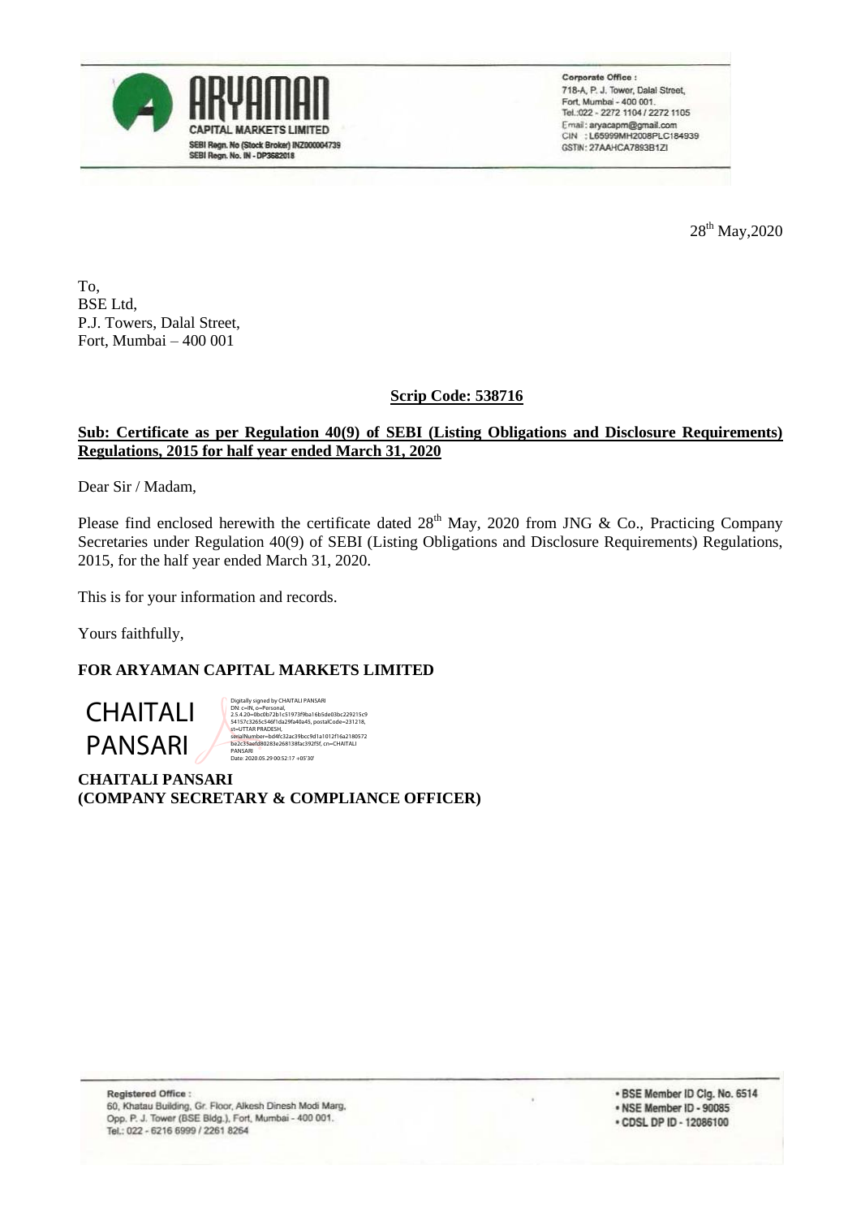

Corporate Office : 718-A, P. J. Tower, Dalal Street, Fort, Mumbai - 400 001. Tel.:022 - 2272 1104 / 2272 1105 Email: aryacapm@gmail.com<br>CIN : L65999MH2008PLC184939 GSTIN: 27AAHCA7893B1ZI

28<sup>th</sup> May, 2020

To, BSE Ltd, P.J. Towers, Dalal Street, Fort, Mumbai – 400 001

# **Scrip Code: 538716**

# **Sub: Certificate as per Regulation 40(9) of SEBI (Listing Obligations and Disclosure Requirements) Regulations, 2015 for half year ended March 31, 2020**

Dear Sir / Madam,

Please find enclosed herewith the certificate dated  $28<sup>th</sup>$  May, 2020 from JNG & Co., Practicing Company Secretaries under Regulation 40(9) of SEBI (Listing Obligations and Disclosure Requirements) Regulations, 2015, for the half year ended March 31, 2020.

This is for your information and records.

Yours faithfully,

### **FOR ARYAMAN CAPITAL MARKETS LIMITED**

CHAITALI PANSARI

Digitally signed by CHAITALI PANSARI<br>DN: c=IN, o=Personal,<br>2.5.4.20=0bc0b72b1c51973f9ba16b5de03bc229215c9<br>54157c3265c546f1da29fa40a45, postalCode=231218,<br>st=UTTAR PRADESH, مuesn,<br>=bd4fc32ac39bcc9d1a1012f16a2180572 be2c35aefd80283e268138fac392f5f, cn=CHAITALI PANSARI Date: 2020.05.29 00:52:17 +05'30'

**CHAITALI PANSARI (COMPANY SECRETARY & COMPLIANCE OFFICER)**

\* BSE Member ID Clg. No. 6514 . NSE Member ID - 90085 • CDSL DP ID - 12086100